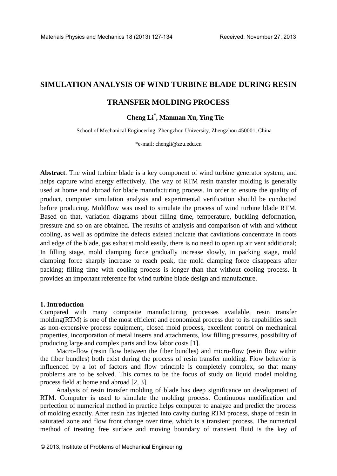## **SIMULATION ANALYSIS OF WIND TURBINE BLADE DURING RESIN**

## **TRANSFER MOLDING PROCESS**

# **Cheng Li\* , Manman Xu, Ying Tie**

School of Mechanical Engineering, Zhengzhou University, Zhengzhou 450001, China

\*e-mail: [chengli@zzu.edu.cn](mailto:chengli@zzu.edu.cn)

**Abstract**. The wind turbine blade is a key component of wind turbine generator system, and helps capture wind energy effectively. The way of RTM resin transfer molding is generally used at home and abroad for blade manufacturing process. In order to ensure the quality of product, computer simulation analysis and experimental verification should be conducted before producing. Moldflow was used to simulate the process of wind turbine blade RTM. Based on that, variation diagrams about filling time, temperature, buckling deformation, pressure and so on are obtained. The results of analysis and comparison of with and without cooling, as well as optimize the defects existed indicate that cavitations concentrate in roots and edge of the blade, gas exhaust mold easily, there is no need to open up air vent additional; In filling stage, mold clamping force gradually increase slowly, in packing stage, mold clamping force sharply increase to reach peak, the mold clamping force disappears after packing; filling time with cooling process is longer than that without cooling process. It provides an important reference for wind turbine blade design and manufacture.

### **1. Introduction**

Compared with many composite manufacturing processes available, resin transfer molding(RTM) is one of the most efficient and economical process due to its capabilities such as non-expensive process equipment, closed mold process, excellent control on mechanical properties, incorporation of metal inserts and attachments, low filling pressures, possibility of producing large and complex parts and low labor costs [1].

Macro-flow (resin flow between the fiber bundles) and micro-flow (resin flow within the fiber bundles) both exist during the process of resin transfer molding. Flow behavior is influenced by a lot of factors and flow principle is completely complex, so that many problems are to be solved. This comes to be the focus of study on liquid model molding process field at home and abroad [2, 3].

Analysis of resin transfer molding of blade has deep significance on development of RTM. Computer is used to simulate the molding process. Continuous modification and perfection of numerical method in practice helps computer to analyze and predict the process of molding exactly. After resin has injected into cavity during RTM process, shape of resin in saturated zone and flow front change over time, which is a transient process. The numerical method of treating free surface and moving boundary of transient fluid is the key of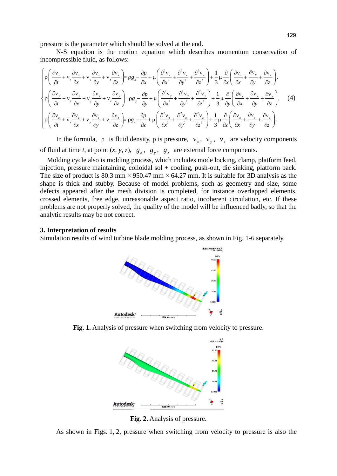pressure is the parameter which should be solved at the end.

N-S equation is the motion equation which describes momentum conservation of<br>mpressible fluid, as follows:<br> $\frac{\partial v_x}{\partial x} + v_y \frac{\partial v_x}{\partial y} + v_y \frac{\partial v_x}{\partial z} + v_z \frac{\partial v_x}{\partial z} + \mu \left( \frac{\partial^2 v_x}{\partial y^2} + \frac{\partial^2 v_x}{\partial z^2} + \frac{\partial^2 v_x}{\partial z^2} \right) + \frac{$ incompressible fluid, as follows:

pressure is the parameter which should be solved at the end.  
\nN-S equation is the motion equation which describes momentum conservation of  
\nincompressible fluid, as follows:  
\n
$$
\begin{bmatrix}\n\rho \left( \frac{\partial v_x}{\partial t} + v_x \frac{\partial v_x}{\partial x} + v_y \frac{\partial v_x}{\partial y} + v_z \frac{\partial v_x}{\partial z} \right) = \rho g_x - \frac{\partial p}{\partial x} + \mu \left( \frac{\partial^2 v_x}{\partial x^2} + \frac{\partial^2 v_x}{\partial y^2} + \frac{\partial^2 v_x}{\partial z^2} \right) + \frac{1}{3} \mu \frac{\partial}{\partial x} \left( \frac{\partial v_x}{\partial x} + \frac{\partial v_y}{\partial y} + \frac{\partial v_z}{\partial z} \right), \\
\rho \left( \frac{\partial v_y}{\partial t} + v_x \frac{\partial v_y}{\partial x} + v_y \frac{\partial v_y}{\partial y} + v_z \frac{\partial v_y}{\partial z} \right) = \rho g_y - \frac{\partial p}{\partial y} + \mu \left( \frac{\partial^2 v_y}{\partial x^2} + \frac{\partial^2 v_y}{\partial y^2} + \frac{\partial^2 v_y}{\partial z^2} \right) + \frac{1}{3} \mu \frac{\partial}{\partial y} \left( \frac{\partial v_x}{\partial x} + \frac{\partial v_y}{\partial y} + \frac{\partial v_z}{\partial z} \right),\n\end{bmatrix}
$$
\n(4)  
\n
$$
\rho \left( \frac{\partial v_x}{\partial t} + v_x \frac{\partial v_z}{\partial x} + v_y \frac{\partial v_z}{\partial y} + v_z \frac{\partial v_z}{\partial z} \right) = \rho g_z - \frac{\partial p}{\partial z} + \mu \left( \frac{\partial^2 v_z}{\partial x^2} + \frac{\partial^2 v_z}{\partial y^2} + \frac{\partial^2 v_z}{\partial z^2} \right) + \frac{1}{3} \mu \frac{\partial}{\partial z} \left( \frac{\partial v_x}{\partial x} + \frac{\partial v_y}{\partial y} + \frac{\partial v_z}{\partial z} \right).
$$

In the formula,  $\rho$  is fluid density, p is pressure,  $v_x$ ,  $v_y$ ,  $v_z$  are velocity components of fluid at time *t*, at point  $(x, y, z)$ ,  $g_x$ ,  $g_y$ ,  $g_z$  are external force components.

Molding cycle also is molding process, which includes mode locking, clamp, platform feed, injection, pressure maintaining, colloidal sol + cooling, push-out, die sinking, platform back. The size of product is 80.3 mm  $\times$  950.47 mm  $\times$  64.27 mm. It is suitable for 3D analysis as the shape is thick and stubby. Because of model problems, such as geometry and size, some defects appeared after the mesh division is completed, for instance overlapped elements, crossed elements, free edge, unreasonable aspect ratio, incoherent circulation, etc. If these problems are not properly solved, the quality of the model will be influenced badly, so that the analytic results may be not correct.

## **3. Interpretation of results**

Simulation results of wind turbine blade molding process, as shown in Fig. 1-6 separately.



**Fig. 1.** Analysis of pressure when switching from velocity to pressure.



**Fig. 2.** Analysis of pressure.

As shown in Figs. 1, 2, pressure when switching from velocity to pressure is also the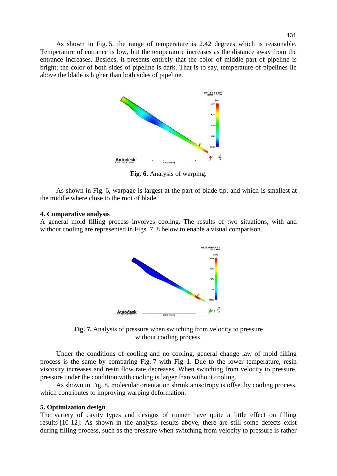As shown in Fig. 5, the range of temperature is 2.42 degrees which is reasonable. Temperature of entrance is low, but the temperature increases as the distance away from the entrance increases. Besides, it presents entirely that the color of middle part of pipeline is bright; the color of both sides of pipeline is dark. That is to say, temperature of pipelines lie above the blade is higher than both sides of pipeline.



**Fig. 6.** Analysis of warping.

As shown in Fig. 6, warpage is largest at the part of blade tip, and which is smallest at the middle where close to the root of blade.

## **4. Comparative analysis**

A general mold filling process involves cooling. The results of two situations, with and without cooling are represented in Figs. 7, 8 below to enable a visual comparison.



**Fig. 7.** Analysis of pressure when switching from velocity to pressure without cooling process.

Under the conditions of cooling and no cooling, general change law of mold filling process is the same by comparing Fig. 7 with Fig. 1. Due to the lower temperature, resin viscosity increases and resin flow rate decreases. When switching from velocity to pressure, pressure under the condition with cooling is larger than without cooling.

As shown in Fig. 8, molecular orientation shrink anisotropy is offset by cooling process, which contributes to improving warping deformation.

## **5. Optimization design**

The variety of cavity types and designs of runner have quite a little effect on filling results [10-12]. As shown in the analysis results above, there are still some defects exist during filling process, such as the pressure when switching from velocity to pressure is rather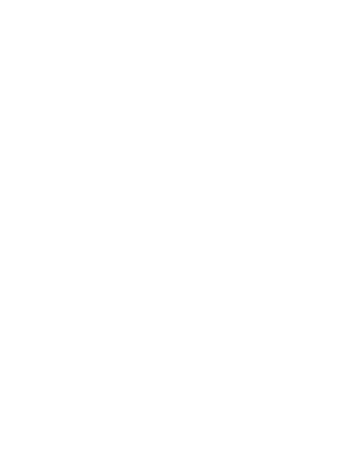# SIMULATION ANALYSIS OF WIND TURBINE BLADE DURING RESIN

## **TRANSFER MOLDING PROCESS**

## Cheng Li<sup>\*</sup>, Manman Xu, Ying Tie

School of Mechanical Engineering, Zhengzhou University, Zhengzhou 450001, China

\*e-mail: chengli@zzu.edu.cn

**Abstract.** The wind turbine blade is a key component of wind turbine generator system, and helps capture wind energy effectively. The way of RTM resin transfer molding is generally used at home and abroad for blade manufacturing process. In order to ensure the quality of product, computer simulation analysis and experimental verification should be conducted before producing. Moldflow was used to simulate the process of wind turbine blade RTM. Based on that, variation diagrams about filling time, temperature, buckling deformation, pressure and so on are obtained. The results of analysis and comparison of with and without cooling, as well as optimize the defects existed indicate that cavitations concentrate in roots and edge of the blade, gas exhaust mold easily, there is no need to open up air vent additional; In filling stage, mold clamping force gradually increase slowly, in packing stage, mold clamping force sharply increase to reach peak, the mold clamping force disappears after packing: filling time with cooling process is longer than that without cooling process. It provides an important reference for wind turbine blade design and manufacture.

#### 1. Introduction

Compared with many composite manufacturing processes available, resin transfer molding (RTM) is one of the most efficient and economical process due to its capabilities such as non-expensive process equipment, closed mold process, excellent control on mechanical properties, incorporation of metal inserts and attachments, low filling pressures, possibility of producing large and complex parts and low labor costs [1].

Macro-flow (resin flow between the fiber bundles) and micro-flow (resin flow within the fiber bundles) both exist during the process of resin transfer molding. Flow behavior is influenced by a lot of factors and flow principle is completely complex, so that many problems are to be solved. This comes to be the focus of study on liquid model molding process field at home and abroad [2, 3].

Analysis of resin transfer molding of blade has deep significance on development of RTM. Computer is used to simulate the molding process. Continuous modification and perfection of numerical method in practice helps computer to analyze and predict the process of molding exactly. After resin has injected into cavity during RTM process, shape of resin in saturated zone and flow front change over time, which is a transient process. The numerical method of treating free surface and moving boundary of transient fluid is the key of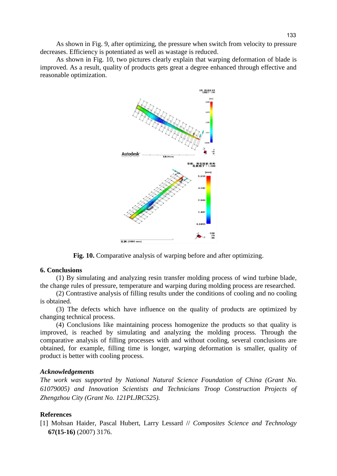As shown in Fig. 9, after optimizing, the pressure when switch from velocity to pressure decreases. Efficiency is potentiated as well as wastage is reduced.

As shown in Fig. 10, two pictures clearly explain that warping deformation of blade is improved. As a result, quality of products gets great a degree enhanced through effective and reasonable optimization.



**Fig. 10.** Comparative analysis of warping before and after optimizing.

## **6. Conclusions**

(1) By simulating and analyzing resin transfer molding process of wind turbine blade, the change rules of pressure, temperature and warping during molding process are researched.

(2) Contrastive analysis of filling results under the conditions of cooling and no cooling is obtained.

(3) The defects which have influence on the quality of products are optimized by changing technical process.

(4) Conclusions like maintaining process homogenize the products so that quality is improved, is reached by simulating and analyzing the molding process. Through the comparative analysis of filling processes with and without cooling, several conclusions are obtained, for example, filling time is longer, warping deformation is smaller, quality of product is better with cooling process.

## *Acknowledgements*

*The work was supported by National Natural Science Foundation of China (Grant No. 61079005) and Innovation Scientists and Technicians Troop Construction Projects of Zhengzhou City (Grant No. 121PLJRC525).* 

## **References**

[1] Mohsan Haider, Pascal Hubert, Larry Lessard // *Composites Science and Technology* **67(15-16)** (2007) 3176.